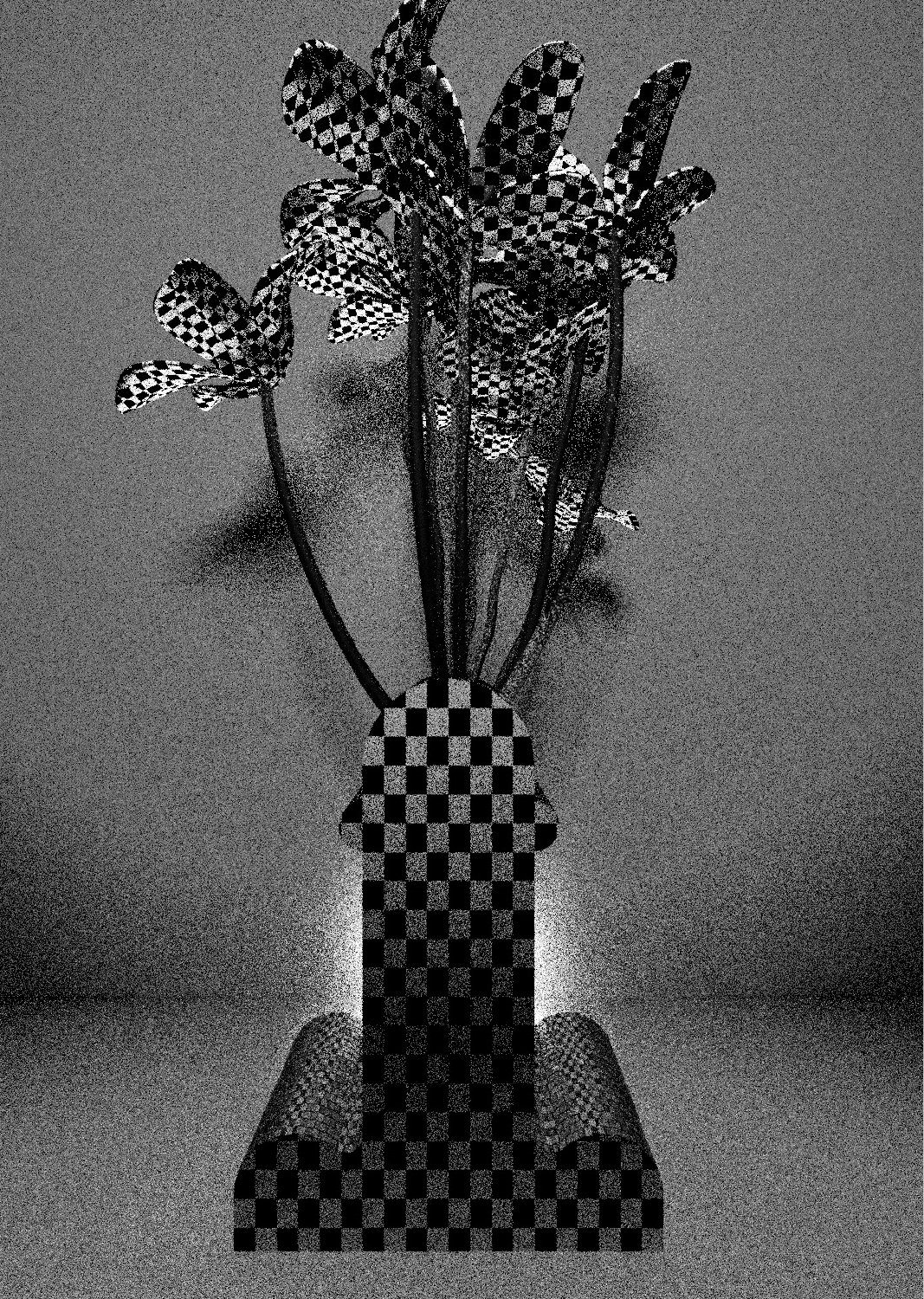